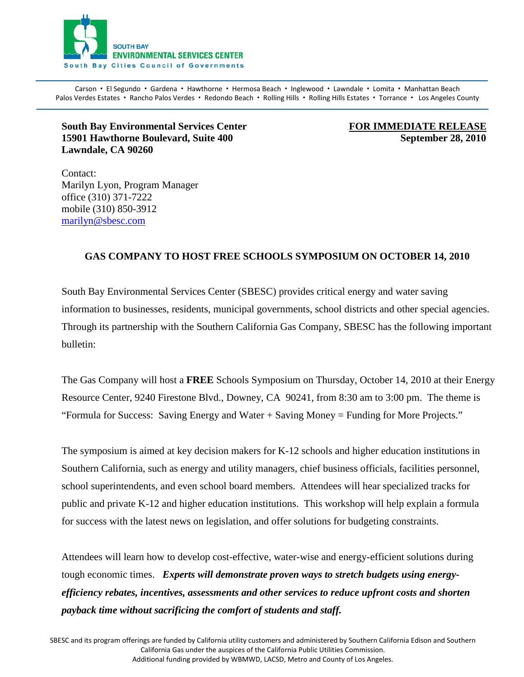

Carson · El Segundo · Gardena · Hawthorne · Hermosa Beach · Inglewood · Lawndale · Lomita · Manhattan Beach Palos Verdes Estates · Rancho Palos Verdes · Redondo Beach · Rolling Hills · Rolling Hills Estates · Torrance · Los Angeles County

## **South Bay Environmental Services Center FOR IMMEDIATE RELEASE 15901 Hawthorne Boulevard, Suite 400 September 28, 2010 Lawndale, CA 90260**

Contact: Marilyn Lyon, Program Manager office (310) 371-7222 mobile (310) 850-3912 [marilyn@sbesc.com](mailto:marilyn@sbesc.com)

## **GAS COMPANY TO HOST FREE SCHOOLS SYMPOSIUM ON OCTOBER 14, 2010**

South Bay Environmental Services Center (SBESC) provides critical energy and water saving information to businesses, residents, municipal governments, school districts and other special agencies. Through its partnership with the Southern California Gas Company, SBESC has the following important bulletin:

The Gas Company will host a **FREE** Schools Symposium on Thursday, October 14, 2010 at their Energy Resource Center, 9240 Firestone Blvd., Downey, CA 90241, from 8:30 am to 3:00 pm. The theme is "Formula for Success: Saving Energy and Water + Saving Money = Funding for More Projects."

The symposium is aimed at key decision makers for K-12 schools and higher education institutions in Southern California, such as energy and utility managers, chief business officials, facilities personnel, school superintendents, and even school board members. Attendees will hear specialized tracks for public and private K-12 and higher education institutions. This workshop will help explain a formula for success with the latest news on legislation, and offer solutions for budgeting constraints.

Attendees will learn how to develop cost-effective, water-wise and energy-efficient solutions during tough economic times. *Experts will demonstrate proven ways to stretch budgets using energyefficiency rebates, incentives, assessments and other services to reduce upfront costs and shorten payback time without sacrificing the comfort of students and staff.*